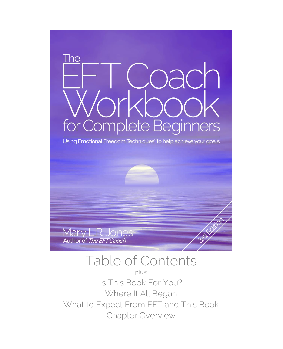

### Table of Contents

plus: Is This Book For You? Where It All Began What to Expect From EFT and This Book Chapter Overview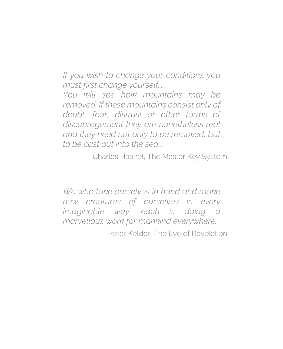*If you wish to change your conditions you must first change yourself...*

*You will see how mountains may be removed. If these mountains consist only of doubt, fear, distrust or other forms of discouragement they are nonetheless real and they need not only to be removed, but to be cast out into the sea...*

Charles Haanel, The Master Key System

*We who take ourselves in hand and make new creatures of ourselves in every imaginable way, each is doing a marvellous work for mankind everywhere.* 

Peter Kelder, The Eye of Revelation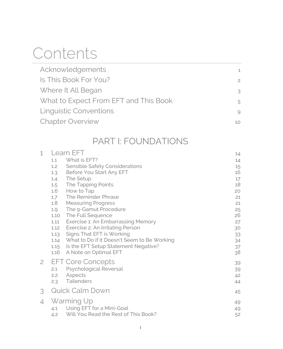### **Contents**

| Acknowledgements                      | $\mathbf{1}$   |
|---------------------------------------|----------------|
| Is This Book For You?                 | $\overline{c}$ |
| Where It All Began                    | 3              |
| What to Expect From EFT and This Book | 5              |
| <b>Linguistic Conventions</b>         | 9              |
| <b>Chapter Overview</b>               | 10             |

### PART I: FOUNDATIONS

| 1            | Learn EFT  |                                             |    |
|--------------|------------|---------------------------------------------|----|
|              | 1.1        | What is EFT?                                | 14 |
|              | 1.2        | Sensible Safety Considerations              | 15 |
|              | 1.3        | Before You Start Any EFT                    | 16 |
|              | 1.4        | The Setup                                   | 17 |
|              | 1.5        | The Tapping Points                          | 18 |
|              | 1.6        | How to Tap                                  | 20 |
|              | 1.7        | The Reminder Phrase                         | 21 |
|              | 1.8        | <b>Measuring Progress</b>                   | 21 |
|              | 1.9        | The 9-Gamut Procedure                       | 25 |
|              | 1.10       | The Full Sequence                           | 26 |
|              | 1.11       | Exercise 1: An Embarrassing Memory          | 27 |
|              | 1.12       | Exercise 2: An Irritating Person            | 30 |
|              | 1.13       | Signs That EFT is Working                   | 33 |
|              | 1.14       | What to Do if it Doesn't Seem to Be Working | 34 |
|              | 1.15       | Is the EFT Setup Statement Negative?        | 37 |
|              | 1.16       | A Note on Optimal EFT                       | 38 |
| $\mathbf{2}$ |            | <b>EFT Core Concepts</b>                    | 39 |
|              | 2.1        | Psychological Reversal                      | 39 |
|              | 2.2        | Aspects                                     | 42 |
|              | 2.3        | Tailenders                                  | 44 |
|              |            |                                             |    |
| 3            |            | <b>Quick Calm Down</b>                      | 45 |
| 4            | Warming Up |                                             | 49 |
|              | 4.1        | Using EFT for a Mini-Goal                   | 49 |
|              | 4.2        | Will You Read the Rest of This Book?        | 52 |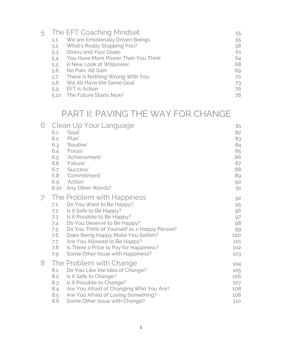|      |                                    | 55                       |
|------|------------------------------------|--------------------------|
| 5.1  | We are Emotionally Driven Beings   | 55                       |
| 5.2  | What's Really Stopping You?        | 58                       |
| 5.3  | <b>Stress and Your Goals</b>       | 61                       |
| 5.4  | You Have More Power Than You Think | 64                       |
| 5.5  | A New Look at Willpower            | 68                       |
| 5.6  | No Pain, All Gain                  | 69                       |
| 5.7  | There is Nothing Wrong With You    | 70                       |
| 5.8  | We All Have the Same Goal          | 73                       |
| 5.9  | <b>EFT</b> is Action               | 76                       |
| 5.10 | The Future Starts Now!             | 78                       |
|      |                                    | The EFT Coaching Mindset |

### PART II: PAVING THE WAY FOR CHANGE

| 6 | Clean Up Your Language                             | 81  |
|---|----------------------------------------------------|-----|
|   | 'Goal'<br>6.1                                      | 82  |
|   | 6.2<br>'Plan'                                      | 83  |
|   | 'Routine'<br>6.3                                   | 84  |
|   | 'Focus'<br>6.4                                     | 85  |
|   | 'Achievement'<br>6.5                               | 86  |
|   | 6.6<br>'Failure'                                   | 87  |
|   | 6.7<br>'Success'                                   | 88  |
|   | 6.8<br>'Commitment'                                | 89  |
|   | 'Action'<br>6.9                                    | 90  |
|   | Any Other Words?<br>6.10                           | 91  |
| 7 | The Problem with Happiness                         | 92  |
|   | Do You Want to Be Happy?<br>7.1                    | 95  |
|   | Is it Safe to Be Happy?<br>7.2                     | 96  |
|   | Is it Possible to Be Happy?<br>7.3                 | 97  |
|   | Do You Deserve to Be Happy?<br>7.4                 | 98  |
|   | Do You Think of Yourself as a Happy Person?<br>7.5 | 99  |
|   | 7.6<br>Does Being Happy Make You Selfish?          | 100 |
|   | Are You Allowed to Be Happy?<br>7.7                | 101 |
|   | Is There a Price to Pay for Happiness?<br>7.8      | 102 |
|   | Some Other Issue with Happiness?<br>7.9            | 103 |
| 8 | The Problem with Change                            | 104 |
|   | Do You Like the Idea of Change?<br>8.1             | 105 |
|   | 8.2<br>Is it Safe to Change?                       | 106 |
|   | Is it Possible to Change?<br>8.3                   | 107 |
|   | Are You Afraid of Changing Who You Are?<br>8.4     | 108 |
|   | Are You Afraid of Losing Something?<br>8.5         | 108 |
|   | 8.6<br>Some Other Issue with Change?               | 110 |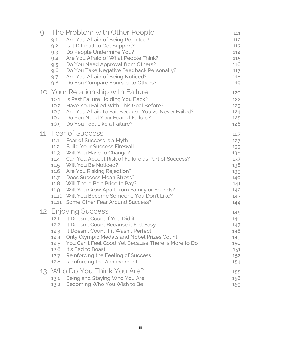| 9               | The Problem with Other People<br>Are You Afraid of Being Rejected?<br>9.1<br>9.2<br>Is it Difficult to Get Support?<br>Do People Undermine You?<br>9.3<br>Are You Afraid of What People Think?<br>9.4<br>Do You Need Approval from Others?<br>9.5<br>Do You Take Negative Feedback Personally?<br>9.6<br>Are You Afraid of Being Noticed?<br>9.7<br>Do You Compare Yourself to Others?<br>9.8                                                                                                          |                                                     | 111<br>112<br>113<br>114<br>115<br>116<br>117<br>118<br>119                      |
|-----------------|--------------------------------------------------------------------------------------------------------------------------------------------------------------------------------------------------------------------------------------------------------------------------------------------------------------------------------------------------------------------------------------------------------------------------------------------------------------------------------------------------------|-----------------------------------------------------|----------------------------------------------------------------------------------|
| 10              | <b>Your Relationship with Failure</b><br>Is Past Failure Holding You Back?<br>10.1<br>Have You Failed With This Goal Before?<br>10.2<br>10.3 Are You Afraid to Fail Because You've Never Failed?<br>10.4 Do You Need Your Fear of Failure?<br>Do You Feel Like a Failure?<br>10.5                                                                                                                                                                                                                      |                                                     | 120<br>122<br>123<br>124<br>125<br>126                                           |
| 11              | <b>Fear of Success</b><br>Fear of Success is a Myth<br>11.1<br>11.2 Build Your Success Firewall<br>Will You Have to Change?<br>11.3<br>Can You Accept Risk of Failure as Part of Success?<br>11.4<br>Will You Be Noticed?<br>11.5<br>Are You Risking Rejection?<br>11.6<br>11.7 Does Success Mean Stress?<br>11.8<br>Will There Be a Price to Pay?<br>Will You Grow Apart from Family or Friends?<br>11.9<br>11.10 Will You Become Someone You Don't Like?<br>Some Other Fear Around Success?<br>11.11 |                                                     | 127<br>127<br>133<br>136<br>137<br>138<br>139<br>140<br>141<br>142<br>143<br>144 |
| 12 <sup>2</sup> | <b>Enjoying Success</b><br>12.1 It Doesn't Count if You Did it<br>It Doesn't Count Because it Felt Easy<br>12.2<br>It Doesn't Count if it Wasn't Perfect<br>12.3<br>Only Olympic Medals and Nobel Prizes Count<br>12.4<br>12.5<br>It's Bad to Boast<br>12.6<br>Reinforcing the Feeling of Success<br>12.7<br>12.8<br>Reinforcing the Achievement                                                                                                                                                       | You Can't Feel Good Yet Because There is More to Do | 145<br>146<br>147<br>148<br>149<br>150<br>151<br>152<br>154                      |
| 13              | Who Do You Think You Are?<br>Being and Staying Who You Are<br>13.1<br>Becoming Who You Wish to Be<br>13.2                                                                                                                                                                                                                                                                                                                                                                                              |                                                     | 155<br>156<br>159                                                                |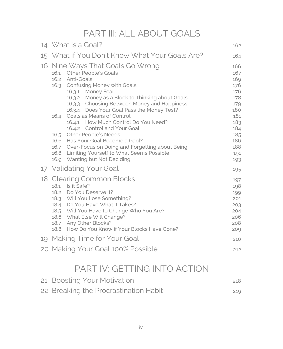PART III: ALL ABOUT GOALS

|    | 14 What is a Goal?                                                                                                                                                                                                                                                                                                                                                                                                                                                                                                                                                                                                                   | 162                                                                                                          |
|----|--------------------------------------------------------------------------------------------------------------------------------------------------------------------------------------------------------------------------------------------------------------------------------------------------------------------------------------------------------------------------------------------------------------------------------------------------------------------------------------------------------------------------------------------------------------------------------------------------------------------------------------|--------------------------------------------------------------------------------------------------------------|
|    | 15 What if You Don't Know What Your Goals Are?                                                                                                                                                                                                                                                                                                                                                                                                                                                                                                                                                                                       | 164                                                                                                          |
| 16 | Nine Ways That Goals Go Wrong<br><b>Other People's Goals</b><br>16.1<br>Anti-Goals<br>16.2<br><b>Confusing Money with Goals</b><br>16.3<br>16.3.1 Money Fear<br>16.3.2 Money as a Block to Thinking about Goals<br>16.3.3 Choosing Between Money and Happiness<br>16.3.4 Does Your Goal Pass the Money Test?<br>Goals as Means of Control<br>16.4<br>16.4.1 How Much Control Do You Need?<br>16.4.2 Control and Your Goal<br>16.5 Other People's Needs<br>16.6 Has Your Goal Become a Gaol?<br>16.7 Over-Focus on Doing and Forgetting about Being<br>16.8 Limiting Yourself to What Seems Possible<br>16.9 Wanting but Not Deciding | 166<br>167<br>169<br>176<br>176<br>178<br>179<br>180<br>181<br>183<br>184<br>185<br>186<br>188<br>191<br>193 |
|    | 17 Validating Your Goal                                                                                                                                                                                                                                                                                                                                                                                                                                                                                                                                                                                                              | 195                                                                                                          |
|    | 18 Clearing Common Blocks<br>Is it Safe?<br>18.1<br>18.2 Do You Deserve it?<br>18.3 Will You Lose Something?<br>18.4 Do You Have What it Takes?<br>18.5 Will You Have to Change Who You Are?<br>18.6 What Else Will Change?<br>Any Other Blocks?<br>18.7<br>18.8 How Do You Know if Your Blocks Have Gone?                                                                                                                                                                                                                                                                                                                           | 197<br>198<br>199<br>201<br>203<br>204<br>206<br>208<br>209                                                  |
|    | 19 Making Time for Your Goal                                                                                                                                                                                                                                                                                                                                                                                                                                                                                                                                                                                                         | 210                                                                                                          |
|    | 20 Making Your Goal 100% Possible                                                                                                                                                                                                                                                                                                                                                                                                                                                                                                                                                                                                    | 212                                                                                                          |

### PART IV: GETTING INTO ACTION

| 21 Boosting Your Motivation           | 218 |
|---------------------------------------|-----|
| 22 Breaking the Procrastination Habit | 219 |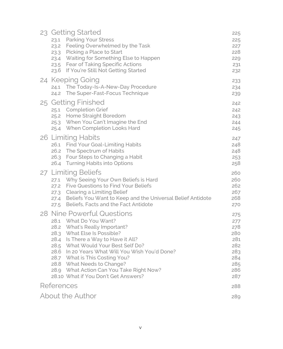|                      | 23 Getting Started<br>23.1 Parking Your Stress<br>23.2 Feeling Overwhelmed by the Task<br>23.3 Picking a Place to Start<br>23.4 Waiting for Something Else to Happen<br>23.5 Fear of Taking Specific Actions<br>23.6 If You're Still Not Getting Started                                                                                                                                  | 225<br>225<br>227<br>228<br>229<br>231<br>232                             |
|----------------------|-------------------------------------------------------------------------------------------------------------------------------------------------------------------------------------------------------------------------------------------------------------------------------------------------------------------------------------------------------------------------------------------|---------------------------------------------------------------------------|
| 24.2                 | 24 Keeping Going<br>24.1 The Today-Is-A-New-Day Procedure<br>The Super-Fast-Focus Technique                                                                                                                                                                                                                                                                                               | 233<br>234<br>239                                                         |
|                      | 25 Getting Finished<br>25.1 Completion Grief<br>25.2 Home Straight Boredom<br>25.3 When You Can't Imagine the End<br>25.4 When Completion Looks Hard                                                                                                                                                                                                                                      | 242<br>242<br>243<br>244<br>245                                           |
| 26.3                 | 26 Limiting Habits<br>26.1 Find Your Goal-Limiting Habits<br>26.2 The Spectrum of Habits<br>Four Steps to Changing a Habit<br>26.4 Turning Habits into Options                                                                                                                                                                                                                            | 247<br>248<br>248<br>253<br>258                                           |
|                      | 27 Limiting Beliefs<br>27.1 Why Seeing Your Own Beliefs is Hard<br>27.2 Five Questions to Find Your Beliefs<br>27.3 Clearing a Limiting Belief<br>27.4 Beliefs You Want to Keep and the Universal Belief Antidote<br>27.5 Beliefs, Facts and the Fact Antidote                                                                                                                            | 260<br>260<br>262<br>267<br>268<br>270                                    |
| 28.4<br>28.5<br>28.6 | 28 Nine Powerful Questions<br>28.1 What Do You Want?<br>28.2 What's Really Important?<br>28.3 What Else Is Possible?<br>Is There a Way to Have it All?<br>What Would Your Best Self Do?<br>In 20 Years What Will You Wish You'd Done?<br>28.7 What is This Costing You?<br>28.8 What Needs to Change?<br>28.9 What Action Can You Take Right Now?<br>28.10 What if You Don't Get Answers? | 275<br>277<br>278<br>280<br>281<br>282<br>283<br>284<br>285<br>286<br>287 |
| References           |                                                                                                                                                                                                                                                                                                                                                                                           | 288                                                                       |
|                      | About the Author                                                                                                                                                                                                                                                                                                                                                                          | 289                                                                       |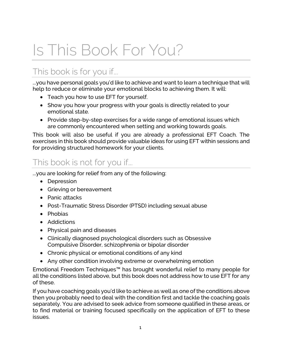# <span id="page-7-0"></span>Is This Book For You?

### This book is for you if...

...you have personal goals you'd like to achieve and want to learn a technique that will help to reduce or eliminate your emotional blocks to achieving them. It will:

- Teach you how to use EFT for yourself.
- Show you how your progress with your goals is directly related to your emotional state.
- Provide step-by-step exercises for a wide range of emotional issues which are commonly encountered when setting and working towards goals.

This book will also be useful if you are already a professional EFT Coach. The exercises in this book should provide valuable ideas for using EFT within sessions and for providing structured homework for your clients.

#### This book is not for you if...

...you are looking for relief from any of the following:

- Depression
- Grieving or bereavement
- Panic attacks
- Post-Traumatic Stress Disorder (PTSD) including sexual abuse
- Phobias
- Addictions
- Physical pain and diseases
- Clinically diagnosed psychological disorders such as Obsessive Compulsive Disorder, schizophrenia or bipolar disorder
- Chronic physical or emotional conditions of any kind
- Any other condition involving extreme or overwhelming emotion

Emotional Freedom Techniques™ has brought wonderful relief to many people for all the conditions listed above, but this book does not address how to use EFT for any of these.

If you have coaching goals you'd like to achieve as well as one of the conditions above then you probably need to deal with the condition first and tackle the coaching goals separately. You are advised to seek advice from someone qualified in these areas, or to find material or training focused specifically on the application of EFT to these issues.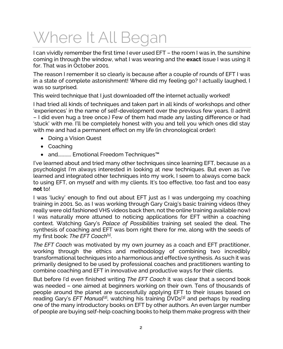### <span id="page-8-0"></span>Where It All Began

I can vividly remember the first time I ever used EFT – the room I was in, the sunshine coming in through the window, what I was wearing and the **exact** issue I was using it for. That was in October 2001.

The reason I remember it so clearly is because after a couple of rounds of EFT I was in a state of complete astonishment! Where did my feeling go? I actually laughed, I was so surprised.

This weird technique that I just downloaded off the internet actually worked!

I had tried all kinds of techniques and taken part in all kinds of workshops and other 'experiences' in the name of self-development over the previous few years. (I admit – I did even hug a tree once.) Few of them had made any lasting difference or had 'stuck' with me. I'll be completely honest with you and tell you which ones did stay with me and had a permanent effect on my life (in chronological order):

- Doing a Vision Quest
- Coaching
- and............ Emotional Freedom Techniques™

I've learned about and tried many other techniques since learning EFT, because as a psychologist I'm always interested in looking at new techniques. But even as I've learned and integrated other techniques into my work, I seem to always come back to using EFT, on myself and with my clients. It's too effective, too fast and too easy **not** to!

I was 'lucky' enough to find out about EFT just as I was undergoing my coaching training in 2001. So, as I was working through Gary Craig's basic training videos (they really were old fashioned VHS videos back then, not the online training available now) I was naturally more attuned to noticing applications for EFT within a coaching context. Watching Gary's *Palace of Possibilities* training set sealed the deal. The synthesis of coaching and EFT was born right there for me, along with the seeds of my first book: *The EFT Coach*<sup>[1]</sup>.

*The EFT Coach* was motivated by my own journey as a coach and EFT practitioner, working through the ethics and methodology of combining two incredibly transformational techniques into a harmonious and effective synthesis. As such it was primarily designed to be used by professional coaches and practitioners wanting to combine coaching and EFT in innovative and productive ways for their clients.

But before I'd even finished writing *The EFT Coach* it was clear that a second book was needed – one aimed at beginners working on their own. Tens of thousands of people around the planet are successfully applying EFT to their issues based on reading Gary's *EFT Manual*[2], watching his training DVDs[3] and perhaps by reading one of the many introductory books on EFT by other authors. An even larger number of people are buying self-help coaching books to help them make progress with their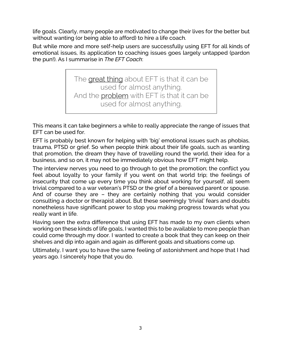life goals. Clearly, many people are motivated to change their lives for the better but without wanting (or being able to afford) to hire a life coach.

But while more and more self-help users are successfully using EFT for all kinds of emotional issues, its application to coaching issues goes largely untapped (pardon the pun!). As I summarise in *The EFT Coach*:

> The great thing about EFT is that it can be used for almost anything. And the **problem** with EFT is that it can be used for almost anything.

This means it can take beginners a while to really appreciate the range of issues that EFT can be used for.

EFT is probably best known for helping with 'big' emotional issues such as phobias, trauma, PTSD or grief. So when people think about their life goals, such as wanting that promotion, the dream they have of travelling round the world, their idea for a business, and so on, it may not be immediately obvious how EFT might help.

The interview nerves you need to go through to get the promotion; the conflict you feel about loyalty to your family if you went on that world trip; the feelings of insecurity that come up every time you think about working for yourself, all seem trivial compared to a war veteran's PTSD or the grief of a bereaved parent or spouse. And of course they are – they are certainly nothing that you would consider consulting a doctor or therapist about. But these seemingly 'trivial' fears and doubts nonetheless have significant power to stop you making progress towards what you really want in life.

Having seen the extra difference that using EFT has made to my own clients when working on these kinds of life goals, I wanted this to be available to more people than could come through my door. I wanted to create a book that they can keep on their shelves and dip into again and again as different goals and situations come up.

Ultimately, I want you to have the same feeling of astonishment and hope that I had years ago. I sincerely hope that you do.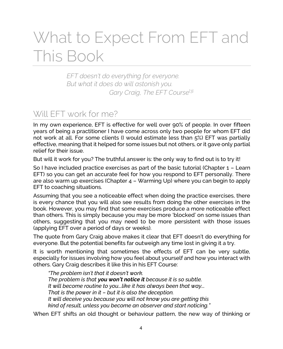### <span id="page-10-0"></span>What to Expect From EFT and This Book

*EFT doesn't do everything for everyone. But what it does do will astonish you.* Gary Craig, The EFT Course<sup>[3]</sup>

#### Will EFT work for me?

In my own experience, EFT is effective for well over 90% of people. In over fifteen years of being a practitioner I have come across only two people for whom EFT did not work at all. For some clients (I would estimate less than 5%) EFT was partially effective, meaning that it helped for some issues but not others, or it gave only partial relief for their issue.

But will it work for you? The truthful answer is: the only way to find out is to try it!

So I have included practice exercises as part of the basic tutorial (Chapter 1 – Learn EFT) so you can get an accurate feel for how you respond to EFT personally. There are also warm up exercises (Chapter 4 – Warming Up) where you can begin to apply EFT to coaching situations.

Assuming that you see a noticeable effect when doing the practice exercises, there is every chance that you will also see results from doing the other exercises in the book. However, you may find that some exercises produce a more noticeable effect than others. This is simply because you may be more 'blocked' on some issues than others, suggesting that you may need to be more persistent with those issues (applying EFT over a period of days or weeks).

The quote from Gary Craig above makes it clear that EFT doesn't do everything for everyone. But the potential benefits far outweigh any time lost in giving it a try.

It is worth mentioning that sometimes the effects of EFT can be very subtle, especially for issues involving how you feel about yourself and how you interact with others. Gary Craig describes it like this in his EFT Course:

*"The problem isn't that it doesn't work. The problem is that you won't notice it because it is so subtle. It will become routine to you...like it has always been that way... That is the power in it – but it is also the deception. It will deceive you because you will not know you are getting this kind of result, unless you become an observer and start noticing."*

When EFT shifts an old thought or behaviour pattern, the new way of thinking or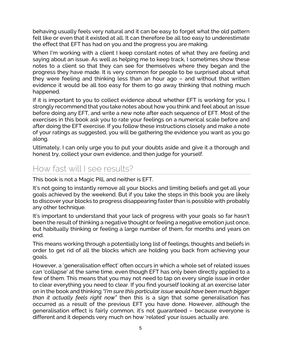behaving usually feels very natural and it can be easy to forget what the old pattern felt like or even that it existed at all. It can therefore be all too easy to underestimate the effect that EFT has had on you and the progress you are making.

When I'm working with a client I keep constant notes of what they are feeling and saying about an issue. As well as helping me to keep track, I sometimes show these notes to a client so that they can see for themselves where they began and the progress they have made. It is very common for people to be surprised about what they were feeling and thinking less than an hour ago – and without that written evidence it would be all too easy for them to go away thinking that nothing much happened.

If it is important to you to collect evidence about whether EFT is working for you, I strongly recommend that you take notes about how you think and feel about an issue before doing any EFT, and write a new note after each sequence of EFT. Most of the exercises in this book ask you to rate your feelings on a numerical scale before and after doing the EFT exercise. If you follow these instructions closely and make a note of your ratings as suggested, you will be gathering the evidence you want as you go along.

Ultimately, I can only urge you to put your doubts aside and give it a thorough and honest try, collect your own evidence, and then judge for yourself.

#### How fast will I see results?

This book is not a Magic Pill, and neither is EFT.

It's not going to instantly remove all your blocks and limiting beliefs and get all your goals achieved by the weekend. But if you take the steps in this book you are likely to discover your blocks to progress disappearing faster than is possible with probably any other technique.

It's important to understand that your lack of progress with your goals so far hasn't been the result of thinking a negative thought or feeling a negative emotion just once, but habitually thinking or feeling a large number of them, for months and years on end.

This means working through a potentially long list of feelings, thoughts and beliefs in order to get rid of all the blocks which are holding you back from achieving your goals.

However, a 'generalisation effect' often occurs in which a whole set of related issues can 'collapse' at the same time, even though EFT has only been directly applied to a few of them. This means that you may not need to tap on every single issue in order to clear everything you need to clear. If you find yourself looking at an exercise later on in the book and thinking *"I'm sure this particular issue would have been much bigger than it actually feels right now"* then this is a sign that some generalisation has occurred as a result of the previous EFT you have done. However, although the generalisation effect is fairly common, it's not guaranteed – because everyone is different and it depends very much on how 'related' your issues actually are.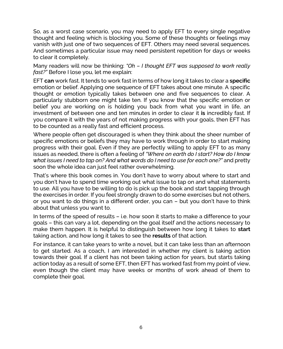So, as a worst case scenario, you may need to apply EFT to every single negative thought and feeling which is blocking you. Some of these thoughts or feelings may vanish with just one of two sequences of EFT. Others may need several sequences. And sometimes a particular issue may need persistent repetition for days or weeks to clear it completely.

Many readers will now be thinking: *"Oh – I thought EFT was supposed to work really fast?"* Before I lose you, let me explain:

EFT **can** work fast. It tends to work fast in terms of how long it takes to clear a **specific** emotion or belief. Applying one sequence of EFT takes about one minute. A specific thought or emotion typically takes between one and five sequences to clear. A particularly stubborn one might take ten. If you know that the specific emotion or belief you are working on is holding you back from what you want in life, an investment of between one and ten minutes in order to clear it **is** incredibly fast. If you compare it with the years of not making progress with your goals, then EFT has to be counted as a really fast and efficient process.

Where people often get discouraged is when they think about the sheer number of specific emotions or beliefs they may have to work through in order to start making progress with their goal. Even if they are perfectly willing to apply EFT to as many issues as needed, there is often a feeling of *"Where on earth do I start? How do I know what issues I need to tap on? And what words do I need to use for each one?"* and pretty soon the whole idea can just feel rather overwhelming.

That's where this book comes in. You don't have to worry about where to start and you don't have to spend time working out what issue to tap on and what statements to use. All you have to be willing to do is pick up the book and start tapping through the exercises in order. If you feel strongly drawn to do some exercises but not others, or you want to do things in a different order, you can – but you don't have to think about that unless you want to.

In terms of the speed of results – i.e. how soon it starts to make a difference to your goals – this can vary a lot, depending on the goal itself and the actions necessary to make them happen. It is helpful to distinguish between how long it takes to **start** taking action, and how long it takes to see the **results** of that action.

For instance, it can take years to write a novel, but it can take less than an afternoon to get started. As a coach, I am interested in whether my client is taking action towards their goal. If a client has not been taking action for years, but starts taking action today as a result of some EFT, then EFT has worked fast from my point of view, even though the client may have weeks or months of work ahead of them to complete their goal.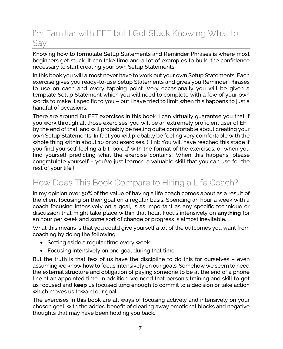#### I'm Familiar with EFT but I Get Stuck Knowing What to Say

Knowing how to formulate Setup Statements and Reminder Phrases is where most beginners get stuck. It can take time and a lot of examples to build the confidence necessary to start creating your own Setup Statements.

In this book you will almost never have to work out your own Setup Statements. Each exercise gives you ready-to-use Setup Statements and gives you Reminder Phrases to use on each and every tapping point. Very occasionally you will be given a template Setup Statement which you will need to complete with a few of your own words to make it specific to you – but I have tried to limit when this happens to just a handful of occasions.

There are around 80 EFT exercises in this book. I can virtually guarantee you that if you work through all those exercises, you will be an extremely proficient user of EFT by the end of that, and will probably be feeling quite comfortable about creating your own Setup Statements. In fact you will probably be feeling very comfortable with the whole thing within about 10 or 20 exercises. (Hint: You will have reached this stage if you find yourself feeling a bit 'bored' with the format of the exercises, or when you find yourself predicting what the exercise contains! When this happens, please congratulate yourself – you've just learned a valuable skill that you can use for the rest of your life.)

### How Does This Book Compare to Hiring a Life Coach?

In my opinion over 50% of the value of having a life coach comes about as a result of the client focusing on their goal on a regular basis. Spending an hour a week with a coach focusing intensively on a goal, is as important as any specific technique or discussion that might take place within that hour. Focus intensively on **anything** for an hour per week and some sort of change or progress is almost inevitable.

What this means is that you could give yourself a lot of the outcomes you want from coaching by doing the following:

- Setting aside a regular time every week
- Focusing intensively on one goal during that time

But the truth is that few of us have the discipline to do this for ourselves – even assuming we know **how** to focus intensively on our goals. Somehow we seem to need the external structure and obligation of paying someone to be at the end of a phone line at an appointed time. In addition, we need that person's training and skill to **get** us focused and **keep** us focused long enough to commit to a decision or take action which moves us toward our goal.

The exercises in this book are all ways of focusing actively and intensively on your chosen goal, with the added benefit of clearing away emotional blocks and negative thoughts that may have been holding you back.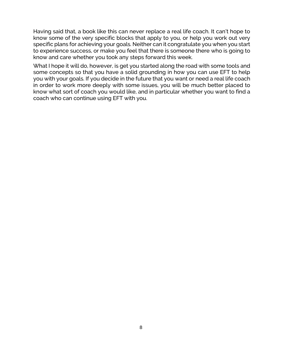Having said that, a book like this can never replace a real life coach. It can't hope to know some of the very specific blocks that apply to you, or help you work out very specific plans for achieving your goals. Neither can it congratulate you when you start to experience success, or make you feel that there is someone there who is going to know and care whether you took any steps forward this week.

What I hope it will do, however, is get you started along the road with some tools and some concepts so that you have a solid grounding in how you can use EFT to help you with your goals. If you decide in the future that you want or need a real life coach in order to work more deeply with some issues, you will be much better placed to know what sort of coach you would like, and in particular whether you want to find a coach who can continue using EFT with you.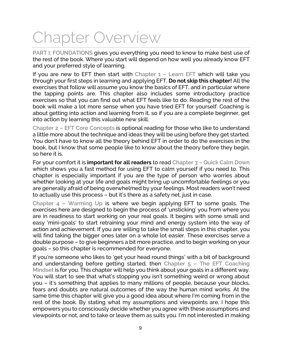# <span id="page-15-0"></span>Chapter Overview

**PART I: FOUNDATIONS** gives you everything you need to know to make best use of the rest of the book. Where you start will depend on how well you already know EFT and your preferred style of learning.

If you are new to EFT then start with **Chapter 1 – Learn EFT** which will take you through your first steps in learning and applying EFT. **Do not skip this chapter!** All the exercises that follow will assume you know the basics of EFT, and in particular where the tapping points are. This chapter also includes some introductory practice exercises so that you can find out what EFT feels like to do. Reading the rest of the book will make a lot more sense when you have tried EFT for yourself. Coaching is about getting into action and learning from it, so if you are a complete beginner, get into action by learning this valuable new skill.

**Chapter 2 – EFT Core Concepts** is optional reading for those who like to understand a little more about the technique and ideas they will be using before they get started. You don't have to know all the theory behind EFT in order to do the exercises in the book, but I know that some people like to know about the theory before they begin, so here it is.

For your comfort it is **important for all readers** to read **Chapter 3 – Quick Calm Down** which shows you a fast method for using EFT to calm yourself if you need to. This chapter is especially important if you are the type of person who worries about whether looking at your life and goals might bring up uncomfortable feelings or you are generally afraid of being overwhelmed by your feelings. Most readers won't need to actually use this process – but it's there as a safety net, just in case.

**Chapter 4 – Warming Up** is where we begin applying EFT to some goals. The exercises here are designed to begin the process of 'unsticking' you from where you are in readiness to start working on your real goals. It begins with some small and easy 'mini-goals' to start retraining your mind and energy system into the way of action and achievement. If you are willing to take the small steps in this chapter, you will find taking the bigger ones later on a whole lot easier. These exercises serve a double purpose – to give beginners a bit more practice, and to begin working on your goals – so this chapter is recommended for everyone.

If you're someone who likes to 'get your head round things' with a bit of background and understanding before getting started, then **Chapter 5 – The EFT Coaching Mindset** is for you. This chapter will help you think about your goals in a different way. You will start to see that what's stopping you isn't something weird or wrong about you – it's something that applies to many millions of people, because your blocks, fears and doubts are natural outcomes of the way the human mind works. At the same time this chapter will give you a good idea about where I'm coming from in the rest of the book. By stating what my assumptions and viewpoints are, I hope this empowers you to consciously decide whether you agree with these assumptions and viewpoints or not, and to take or leave them as suits you. I'm not interested in making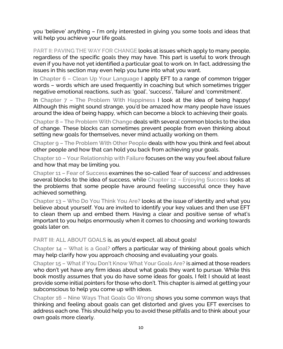you 'believe' anything – I'm only interested in giving you some tools and ideas that will help you achieve your life goals.

**PART II: PAVING THE WAY FOR CHANGE** looks at issues which apply to many people, regardless of the specific goals they may have. This part is useful to work through even if you have not yet identified a particular goal to work on. In fact, addressing the issues in this section may even help you tune into what you want.

In **Chapter 6 – Clean Up Your Language** I apply EFT to a range of common trigger words – words which are used frequently in coaching but which sometimes trigger negative emotional reactions, such as: 'goal', 'success', 'failure' and 'commitment'.

In **Chapter 7 – The Problem With Happiness** I look at the idea of being happy! Although this might sound strange, you'd be amazed how many people have issues around the idea of being happy, which can become a block to achieving their goals.

**Chapter 8 – The Problem With Change** deals with several common blocks to the idea of change. These blocks can sometimes prevent people from even thinking about setting new goals for themselves, never mind actually working on them.

**Chapter 9 – The Problem With Other People** deals with how you think and feel about other people and how that can hold you back from achieving your goals.

**Chapter 10 – Your Relationship with Failure** focuses on the way you feel about failure and how that may be limiting you.

**Chapter 11 – Fear of Success** examines the so-called 'fear of success' and addresses several blocks to the idea of success, while **Chapter 12 – Enjoying Success** looks at the problems that some people have around feeling successful once they have achieved something.

**Chapter 13 – Who Do You Think You Are?** looks at the issue of identity and what you believe about yourself. You are invited to identify your key values and then use EFT to clean them up and embed them. Having a clear and positive sense of what's important to you helps enormously when it comes to choosing and working towards goals later on.

**PART III: ALL ABOUT GOALS** is, as you'd expect, all about goals!

**Chapter 14 – What is a Goal?** offers a particular way of thinking about goals which may help clarify how you approach choosing and evaluating your goals.

**Chapter 15 – What if You Don't Know What Your Goals Are?** is aimed at those readers who don't yet have any firm ideas about what goals they want to pursue. While this book mostly assumes that you do have some ideas for goals, I felt I should at least provide some initial pointers for those who don't. This chapter is aimed at getting your subconscious to help you come up with ideas.

**Chapter 16 – Nine Ways That Goals Go Wrong** shows you some common ways that thinking and feeling about goals can get distorted and gives you EFT exercises to address each one. This should help you to avoid these pitfalls and to think about your own goals more clearly.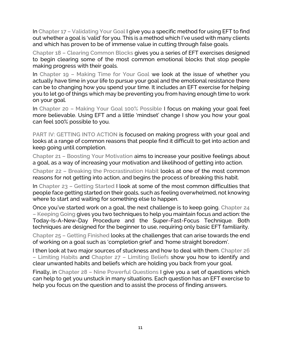In **Chapter 17 – Validating Your Goal** I give you a specific method for using EFT to find out whether a goal is 'valid' for you. This is a method which I've used with many clients and which has proven to be of immense value in cutting through false goals.

**Chapter 18 – Clearing Common Blocks** gives you a series of EFT exercises designed to begin clearing some of the most common emotional blocks that stop people making progress with their goals.

In **Chapter 19 – Making Time for Your Goal** we look at the issue of whether you actually have time in your life to pursue your goal and the emotional resistance there can be to changing how you spend your time. It includes an EFT exercise for helping you to let go of things which may be preventing you from having enough time to work on your goal.

In **Chapter 20 – Making Your Goal 100% Possible** I focus on making your goal feel more believable. Using EFT and a little 'mindset' change I show you how your goal can feel 100% possible to you.

**PART IV: GETTING INTO ACTION** is focused on making progress with your goal and looks at a range of common reasons that people find it difficult to get into action and keep going until completion.

**Chapter 21 – Boosting Your Motivation** aims to increase your positive feelings about a goal, as a way of increasing your motivation and likelihood of getting into action.

**Chapter 22 – Breaking the Procrastination Habit** looks at one of the most common reasons for not getting into action, and begins the process of breaking this habit.

In **Chapter 23 – Getting Started** I look at some of the most common difficulties that people face getting started on their goals, such as feeling overwhelmed, not knowing where to start and waiting for something else to happen.

Once you've started work on a goal, the next challenge is to keep going. **Chapter 24 – Keeping Going** gives you two techniques to help you maintain focus and action: the Today-Is-A-New-Day Procedure and the Super-Fast-Focus Technique. Both techniques are designed for the beginner to use, requiring only basic EFT familiarity.

**Chapter 25 – Getting Finished** looks at the challenges that can arise towards the end of working on a goal such as 'completion grief' and 'home straight boredom'.

I then look at two major sources of stuckness and how to deal with them. **Chapter 26 – Limiting Habits** and **Chapter 27 – Limiting Beliefs** show you how to identify and clear unwanted habits and beliefs which are holding you back from your goal.

Finally, in **Chapter 28 – Nine Powerful Questions** I give you a set of questions which can help to get you unstuck in many situations. Each question has an EFT exercise to help you focus on the question and to assist the process of finding answers.